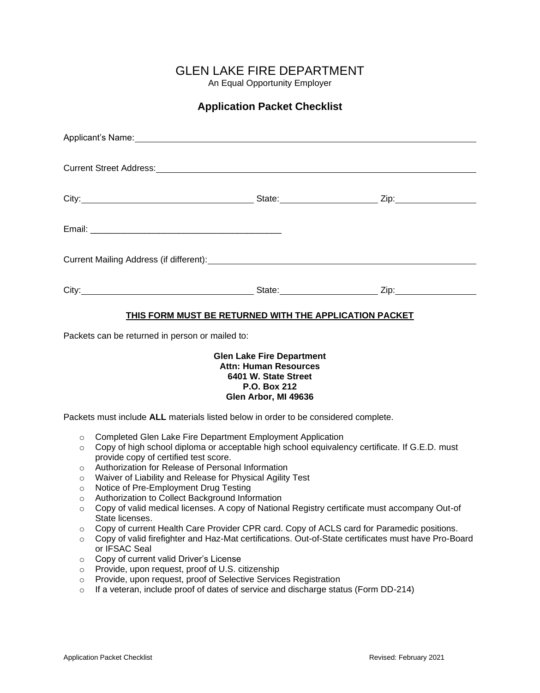## GLEN LAKE FIRE DEPARTMENT

An Equal Opportunity Employer

## **Application Packet Checklist**

| Applicant's Name: Manual Applicant of Name (1995) |                              |                         |
|---------------------------------------------------|------------------------------|-------------------------|
|                                                   |                              |                         |
|                                                   | State: <u>2ip: Zip:</u> Zip: |                         |
|                                                   |                              |                         |
|                                                   |                              |                         |
|                                                   |                              | State: <u>Zip:</u> Zip: |

#### **THIS FORM MUST BE RETURNED WITH THE APPLICATION PACKET**

Packets can be returned in person or mailed to:

#### **Glen Lake Fire Department Attn: Human Resources 6401 W. State Street P.O. Box 212 Glen Arbor, MI 49636**

Packets must include **ALL** materials listed below in order to be considered complete.

- o Completed Glen Lake Fire Department Employment Application
- o Copy of high school diploma or acceptable high school equivalency certificate. If G.E.D. must provide copy of certified test score.
- o Authorization for Release of Personal Information
- o Waiver of Liability and Release for Physical Agility Test
- o Notice of Pre-Employment Drug Testing
- o Authorization to Collect Background Information
- o Copy of valid medical licenses. A copy of National Registry certificate must accompany Out-of State licenses.
- o Copy of current Health Care Provider CPR card. Copy of ACLS card for Paramedic positions.
- o Copy of valid firefighter and Haz-Mat certifications. Out-of-State certificates must have Pro-Board or IFSAC Seal
- o Copy of current valid Driver's License
- o Provide, upon request, proof of U.S. citizenship
- o Provide, upon request, proof of Selective Services Registration
- $\circ$  If a veteran, include proof of dates of service and discharge status (Form DD-214)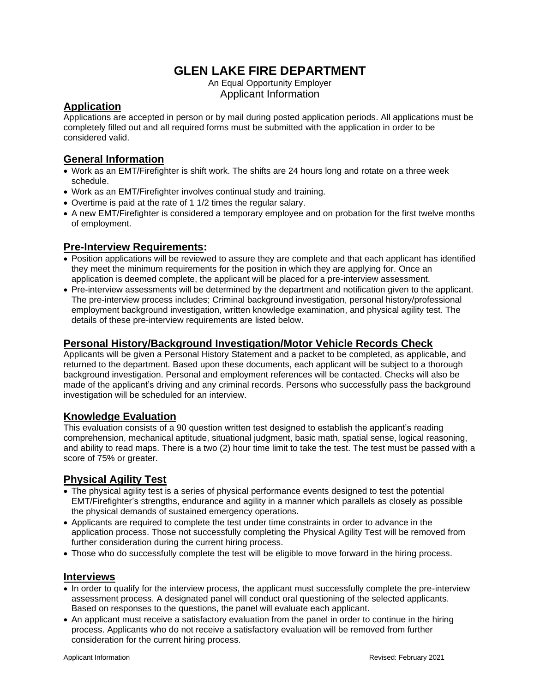## **GLEN LAKE FIRE DEPARTMENT**

An Equal Opportunity Employer Applicant Information

## **Application**

Applications are accepted in person or by mail during posted application periods. All applications must be completely filled out and all required forms must be submitted with the application in order to be considered valid.

#### **General Information**

- Work as an EMT/Firefighter is shift work. The shifts are 24 hours long and rotate on a three week schedule.
- Work as an EMT/Firefighter involves continual study and training.
- Overtime is paid at the rate of 1 1/2 times the regular salary.
- A new EMT/Firefighter is considered a temporary employee and on probation for the first twelve months of employment.

#### **Pre-Interview Requirements:**

- Position applications will be reviewed to assure they are complete and that each applicant has identified they meet the minimum requirements for the position in which they are applying for. Once an application is deemed complete, the applicant will be placed for a pre-interview assessment.
- Pre-interview assessments will be determined by the department and notification given to the applicant. The pre-interview process includes; Criminal background investigation, personal history/professional employment background investigation, written knowledge examination, and physical agility test. The details of these pre-interview requirements are listed below.

### **Personal History/Background Investigation/Motor Vehicle Records Check**

Applicants will be given a Personal History Statement and a packet to be completed, as applicable, and returned to the department. Based upon these documents, each applicant will be subject to a thorough background investigation. Personal and employment references will be contacted. Checks will also be made of the applicant's driving and any criminal records. Persons who successfully pass the background investigation will be scheduled for an interview.

#### **Knowledge Evaluation**

This evaluation consists of a 90 question written test designed to establish the applicant's reading comprehension, mechanical aptitude, situational judgment, basic math, spatial sense, logical reasoning, and ability to read maps. There is a two (2) hour time limit to take the test. The test must be passed with a score of 75% or greater.

#### **Physical Agility Test**

- The physical agility test is a series of physical performance events designed to test the potential EMT/Firefighter's strengths, endurance and agility in a manner which parallels as closely as possible the physical demands of sustained emergency operations.
- Applicants are required to complete the test under time constraints in order to advance in the application process. Those not successfully completing the Physical Agility Test will be removed from further consideration during the current hiring process.
- Those who do successfully complete the test will be eligible to move forward in the hiring process.

#### **Interviews**

- In order to qualify for the interview process, the applicant must successfully complete the pre-interview assessment process. A designated panel will conduct oral questioning of the selected applicants. Based on responses to the questions, the panel will evaluate each applicant.
- An applicant must receive a satisfactory evaluation from the panel in order to continue in the hiring process. Applicants who do not receive a satisfactory evaluation will be removed from further consideration for the current hiring process.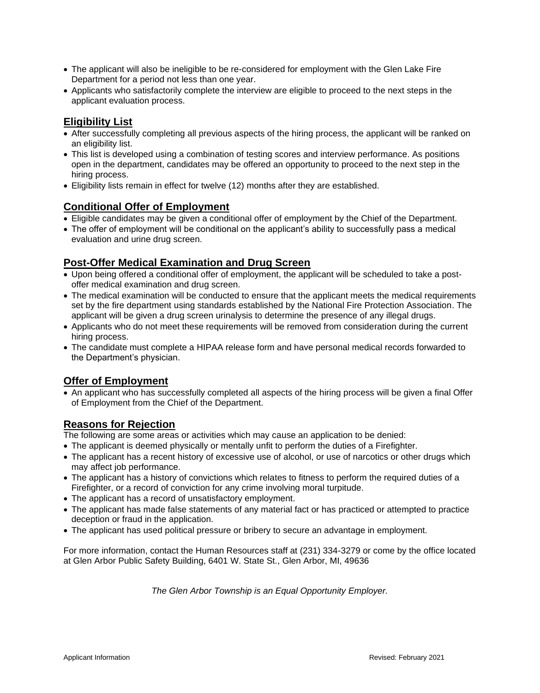- The applicant will also be ineligible to be re-considered for employment with the Glen Lake Fire Department for a period not less than one year.
- Applicants who satisfactorily complete the interview are eligible to proceed to the next steps in the applicant evaluation process.

## **Eligibility List**

- After successfully completing all previous aspects of the hiring process, the applicant will be ranked on an eligibility list.
- This list is developed using a combination of testing scores and interview performance. As positions open in the department, candidates may be offered an opportunity to proceed to the next step in the hiring process.
- Eligibility lists remain in effect for twelve (12) months after they are established.

#### **Conditional Offer of Employment**

- Eligible candidates may be given a conditional offer of employment by the Chief of the Department.
- The offer of employment will be conditional on the applicant's ability to successfully pass a medical evaluation and urine drug screen.

#### **Post-Offer Medical Examination and Drug Screen**

- Upon being offered a conditional offer of employment, the applicant will be scheduled to take a postoffer medical examination and drug screen.
- The medical examination will be conducted to ensure that the applicant meets the medical requirements set by the fire department using standards established by the National Fire Protection Association. The applicant will be given a drug screen urinalysis to determine the presence of any illegal drugs.
- Applicants who do not meet these requirements will be removed from consideration during the current hiring process.
- The candidate must complete a HIPAA release form and have personal medical records forwarded to the Department's physician.

#### **Offer of Employment**

• An applicant who has successfully completed all aspects of the hiring process will be given a final Offer of Employment from the Chief of the Department.

#### **Reasons for Rejection**

The following are some areas or activities which may cause an application to be denied:

- The applicant is deemed physically or mentally unfit to perform the duties of a Firefighter.
- The applicant has a recent history of excessive use of alcohol, or use of narcotics or other drugs which may affect job performance.
- The applicant has a history of convictions which relates to fitness to perform the required duties of a Firefighter, or a record of conviction for any crime involving moral turpitude.
- The applicant has a record of unsatisfactory employment.
- The applicant has made false statements of any material fact or has practiced or attempted to practice deception or fraud in the application.
- The applicant has used political pressure or bribery to secure an advantage in employment.

For more information, contact the Human Resources staff at (231) 334-3279 or come by the office located at Glen Arbor Public Safety Building, 6401 W. State St., Glen Arbor, MI, 49636

*The Glen Arbor Township is an Equal Opportunity Employer.*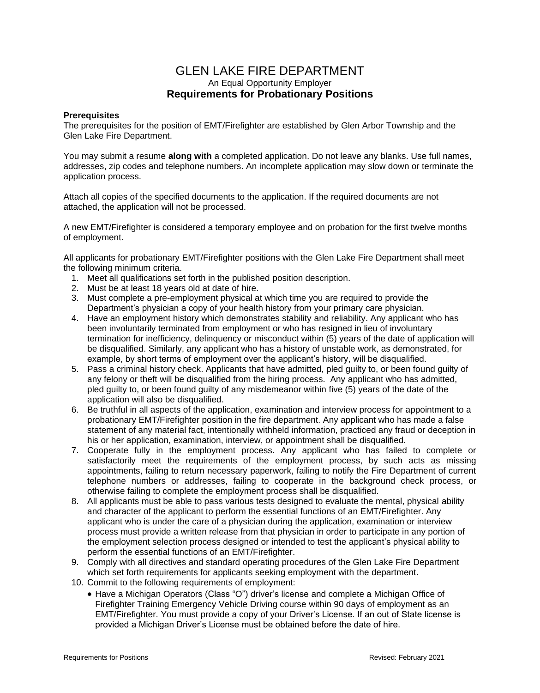#### GLEN LAKE FIRE DEPARTMENT An Equal Opportunity Employer **Requirements for Probationary Positions**

#### **Prerequisites**

The prerequisites for the position of EMT/Firefighter are established by Glen Arbor Township and the Glen Lake Fire Department.

You may submit a resume **along with** a completed application. Do not leave any blanks. Use full names, addresses, zip codes and telephone numbers. An incomplete application may slow down or terminate the application process.

Attach all copies of the specified documents to the application. If the required documents are not attached, the application will not be processed.

A new EMT/Firefighter is considered a temporary employee and on probation for the first twelve months of employment.

All applicants for probationary EMT/Firefighter positions with the Glen Lake Fire Department shall meet the following minimum criteria.

- 1. Meet all qualifications set forth in the published position description.
- 2. Must be at least 18 years old at date of hire.
- 3. Must complete a pre-employment physical at which time you are required to provide the Department's physician a copy of your health history from your primary care physician.
- 4. Have an employment history which demonstrates stability and reliability. Any applicant who has been involuntarily terminated from employment or who has resigned in lieu of involuntary termination for inefficiency, delinquency or misconduct within (5) years of the date of application will be disqualified. Similarly, any applicant who has a history of unstable work, as demonstrated, for example, by short terms of employment over the applicant's history, will be disqualified.
- 5. Pass a criminal history check. Applicants that have admitted, pled guilty to, or been found guilty of any felony or theft will be disqualified from the hiring process. Any applicant who has admitted, pled guilty to, or been found guilty of any misdemeanor within five (5) years of the date of the application will also be disqualified.
- 6. Be truthful in all aspects of the application, examination and interview process for appointment to a probationary EMT/Firefighter position in the fire department. Any applicant who has made a false statement of any material fact, intentionally withheld information, practiced any fraud or deception in his or her application, examination, interview, or appointment shall be disqualified.
- 7. Cooperate fully in the employment process. Any applicant who has failed to complete or satisfactorily meet the requirements of the employment process, by such acts as missing appointments, failing to return necessary paperwork, failing to notify the Fire Department of current telephone numbers or addresses, failing to cooperate in the background check process, or otherwise failing to complete the employment process shall be disqualified.
- 8. All applicants must be able to pass various tests designed to evaluate the mental, physical ability and character of the applicant to perform the essential functions of an EMT/Firefighter. Any applicant who is under the care of a physician during the application, examination or interview process must provide a written release from that physician in order to participate in any portion of the employment selection process designed or intended to test the applicant's physical ability to perform the essential functions of an EMT/Firefighter.
- 9. Comply with all directives and standard operating procedures of the Glen Lake Fire Department which set forth requirements for applicants seeking employment with the department.
- 10. Commit to the following requirements of employment:
	- Have a Michigan Operators (Class "O") driver's license and complete a Michigan Office of Firefighter Training Emergency Vehicle Driving course within 90 days of employment as an EMT/Firefighter. You must provide a copy of your Driver's License. If an out of State license is provided a Michigan Driver's License must be obtained before the date of hire.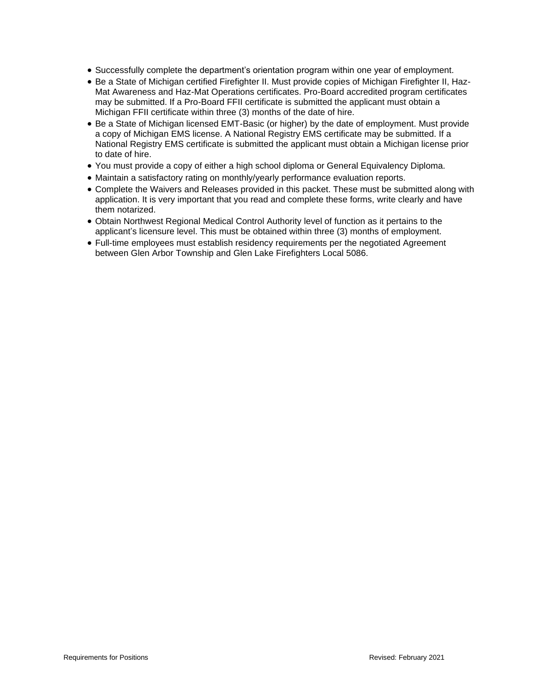- Successfully complete the department's orientation program within one year of employment.
- Be a State of Michigan certified Firefighter II. Must provide copies of Michigan Firefighter II, Haz-Mat Awareness and Haz-Mat Operations certificates. Pro-Board accredited program certificates may be submitted. If a Pro-Board FFII certificate is submitted the applicant must obtain a Michigan FFII certificate within three (3) months of the date of hire.
- Be a State of Michigan licensed EMT-Basic (or higher) by the date of employment. Must provide a copy of Michigan EMS license. A National Registry EMS certificate may be submitted. If a National Registry EMS certificate is submitted the applicant must obtain a Michigan license prior to date of hire.
- You must provide a copy of either a high school diploma or General Equivalency Diploma.
- Maintain a satisfactory rating on monthly/yearly performance evaluation reports.
- Complete the Waivers and Releases provided in this packet. These must be submitted along with application. It is very important that you read and complete these forms, write clearly and have them notarized.
- Obtain Northwest Regional Medical Control Authority level of function as it pertains to the applicant's licensure level. This must be obtained within three (3) months of employment.
- Full-time employees must establish residency requirements per the negotiated Agreement between Glen Arbor Township and Glen Lake Firefighters Local 5086.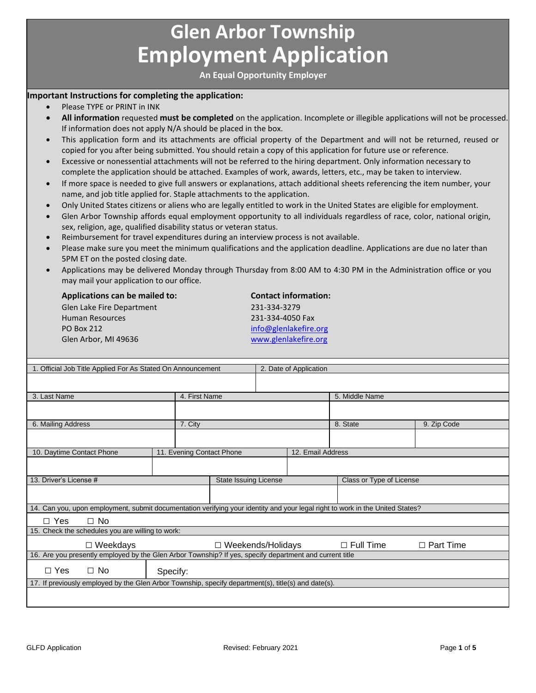# **Glen Arbor Township Employment Application**

**An Equal Opportunity Employer**

#### **Important Instructions for completing the application:**

- Please TYPE or PRINT in INK
- **All information** requested **must be completed** on the application. Incomplete or illegible applications will not be processed. If information does not apply N/A should be placed in the box.
- This application form and its attachments are official property of the Department and will not be returned, reused or copied for you after being submitted. You should retain a copy of this application for future use or reference.
- Excessive or nonessential attachments will not be referred to the hiring department. Only information necessary to complete the application should be attached. Examples of work, awards, letters, etc., may be taken to interview.
- If more space is needed to give full answers or explanations, attach additional sheets referencing the item number, your name, and job title applied for. Staple attachments to the application.
- Only United States citizens or aliens who are legally entitled to work in the United States are eligible for employment.
- Glen Arbor Township affords equal employment opportunity to all individuals regardless of race, color, national origin, sex, religion, age, qualified disability status or veteran status.
- Reimbursement for travel expenditures during an interview process is not available.
- Please make sure you meet the minimum qualifications and the application deadline. Applications are due no later than 5PM ET on the posted closing date.
- Applications may be delivered Monday through Thursday from 8:00 AM to 4:30 PM in the Administration office or you may mail your application to our office.

| <b>Applications can be mailed to:</b> | <b>Contact information:</b> |
|---------------------------------------|-----------------------------|
| Glen Lake Fire Department             | 231-334-3279                |
| <b>Human Resources</b>                | 231-334-4050 Fax            |
| <b>PO Box 212</b>                     | info@glenlakefire.org       |
| Glen Arbor, MI 49636                  | www.glenlakefire.org        |

| 1. Official Job Title Applied For As Stated On Announcement                                                                   |                           |                              |  | 2. Date of Application |                          |                  |  |
|-------------------------------------------------------------------------------------------------------------------------------|---------------------------|------------------------------|--|------------------------|--------------------------|------------------|--|
|                                                                                                                               |                           |                              |  |                        |                          |                  |  |
|                                                                                                                               |                           |                              |  |                        |                          |                  |  |
| 3. Last Name                                                                                                                  |                           | 4. First Name                |  |                        | 5. Middle Name           |                  |  |
|                                                                                                                               |                           |                              |  |                        |                          |                  |  |
|                                                                                                                               |                           |                              |  |                        |                          |                  |  |
| 6. Mailing Address                                                                                                            | 7. City                   |                              |  |                        | 8. State                 | 9. Zip Code      |  |
|                                                                                                                               |                           |                              |  |                        |                          |                  |  |
|                                                                                                                               |                           |                              |  |                        |                          |                  |  |
| 10. Daytime Contact Phone                                                                                                     | 11. Evening Contact Phone |                              |  | 12. Email Address      |                          |                  |  |
|                                                                                                                               |                           |                              |  |                        |                          |                  |  |
|                                                                                                                               |                           |                              |  |                        |                          |                  |  |
| 13. Driver's License #                                                                                                        |                           | <b>State Issuing License</b> |  |                        | Class or Type of License |                  |  |
|                                                                                                                               |                           |                              |  |                        |                          |                  |  |
|                                                                                                                               |                           |                              |  |                        |                          |                  |  |
| 14. Can you, upon employment, submit documentation verifying your identity and your legal right to work in the United States? |                           |                              |  |                        |                          |                  |  |
| $\Box$ No<br>$\Box$ Yes                                                                                                       |                           |                              |  |                        |                          |                  |  |
| 15. Check the schedules you are willing to work:                                                                              |                           |                              |  |                        |                          |                  |  |
|                                                                                                                               |                           |                              |  |                        |                          |                  |  |
| $\Box$ Weekdays                                                                                                               |                           | $\Box$ Weekends/Holidays     |  |                        | $\Box$ Full Time         | $\Box$ Part Time |  |
| 16. Are you presently employed by the Glen Arbor Township? If yes, specify department and current title                       |                           |                              |  |                        |                          |                  |  |
| $\Box$ No<br>$\Box$ Yes                                                                                                       | Specify:                  |                              |  |                        |                          |                  |  |
| 17. If previously employed by the Glen Arbor Township, specify department(s), title(s) and date(s).                           |                           |                              |  |                        |                          |                  |  |
|                                                                                                                               |                           |                              |  |                        |                          |                  |  |
|                                                                                                                               |                           |                              |  |                        |                          |                  |  |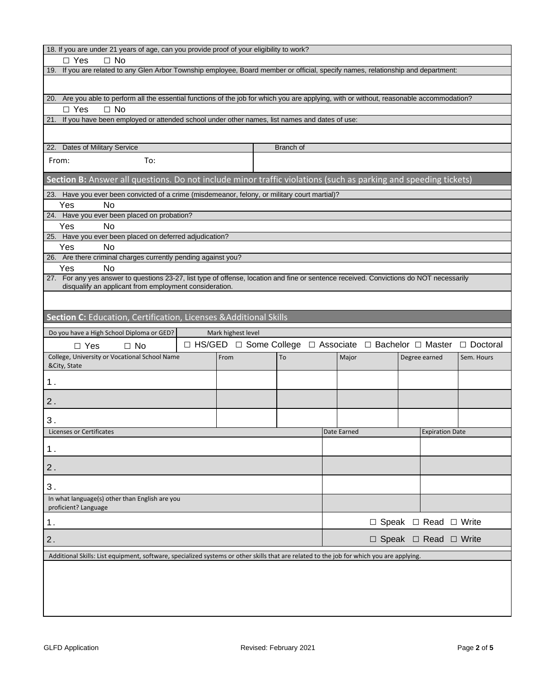| 18. If you are under 21 years of age, can you provide proof of your eligibility to work?                                                  |  |                    |  |           |                                                                                                  |                                       |                        |            |
|-------------------------------------------------------------------------------------------------------------------------------------------|--|--------------------|--|-----------|--------------------------------------------------------------------------------------------------|---------------------------------------|------------------------|------------|
| $\Box$ Yes<br>$\Box$ No                                                                                                                   |  |                    |  |           |                                                                                                  |                                       |                        |            |
| 19. If you are related to any Glen Arbor Township employee, Board member or official, specify names, relationship and department:         |  |                    |  |           |                                                                                                  |                                       |                        |            |
|                                                                                                                                           |  |                    |  |           |                                                                                                  |                                       |                        |            |
| 20. Are you able to perform all the essential functions of the job for which you are applying, with or without, reasonable accommodation? |  |                    |  |           |                                                                                                  |                                       |                        |            |
| $\Box$ Yes<br>$\Box$ No                                                                                                                   |  |                    |  |           |                                                                                                  |                                       |                        |            |
| 21. If you have been employed or attended school under other names, list names and dates of use:                                          |  |                    |  |           |                                                                                                  |                                       |                        |            |
|                                                                                                                                           |  |                    |  |           |                                                                                                  |                                       |                        |            |
| 22. Dates of Military Service                                                                                                             |  |                    |  | Branch of |                                                                                                  |                                       |                        |            |
| To:<br>From:                                                                                                                              |  |                    |  |           |                                                                                                  |                                       |                        |            |
| Section B: Answer all questions. Do not include minor traffic violations (such as parking and speeding tickets)                           |  |                    |  |           |                                                                                                  |                                       |                        |            |
| 23. Have you ever been convicted of a crime (misdemeanor, felony, or military court martial)?                                             |  |                    |  |           |                                                                                                  |                                       |                        |            |
| Yes<br><b>No</b>                                                                                                                          |  |                    |  |           |                                                                                                  |                                       |                        |            |
| 24. Have you ever been placed on probation?<br>Yes<br><b>No</b>                                                                           |  |                    |  |           |                                                                                                  |                                       |                        |            |
| 25. Have you ever been placed on deferred adjudication?                                                                                   |  |                    |  |           |                                                                                                  |                                       |                        |            |
| Yes<br><b>No</b>                                                                                                                          |  |                    |  |           |                                                                                                  |                                       |                        |            |
| 26. Are there criminal charges currently pending against you?                                                                             |  |                    |  |           |                                                                                                  |                                       |                        |            |
| Yes<br><b>No</b>                                                                                                                          |  |                    |  |           |                                                                                                  |                                       |                        |            |
| 27. For any yes answer to questions 23-27, list type of offense, location and fine or sentence received. Convictions do NOT necessarily   |  |                    |  |           |                                                                                                  |                                       |                        |            |
| disqualify an applicant from employment consideration.                                                                                    |  |                    |  |           |                                                                                                  |                                       |                        |            |
|                                                                                                                                           |  |                    |  |           |                                                                                                  |                                       |                        |            |
| Section C: Education, Certification, Licenses & Additional Skills                                                                         |  |                    |  |           |                                                                                                  |                                       |                        |            |
| Do you have a High School Diploma or GED?                                                                                                 |  | Mark highest level |  |           |                                                                                                  |                                       |                        |            |
| $\Box$ No<br>$\Box$ Yes                                                                                                                   |  |                    |  |           | $\Box$ HS/GED $\Box$ Some College $\Box$ Associate $\Box$ Bachelor $\Box$ Master $\Box$ Doctoral |                                       |                        |            |
| College, University or Vocational School Name<br>&City, State                                                                             |  | From               |  | To        | Major                                                                                            | Degree earned                         |                        | Sem. Hours |
| 1.                                                                                                                                        |  |                    |  |           |                                                                                                  |                                       |                        |            |
| 2.                                                                                                                                        |  |                    |  |           |                                                                                                  |                                       |                        |            |
| 3.                                                                                                                                        |  |                    |  |           |                                                                                                  |                                       |                        |            |
| <b>Licenses or Certificates</b>                                                                                                           |  |                    |  |           | Date Earned                                                                                      |                                       | <b>Expiration Date</b> |            |
|                                                                                                                                           |  |                    |  |           |                                                                                                  |                                       |                        |            |
| 1.                                                                                                                                        |  |                    |  |           |                                                                                                  |                                       |                        |            |
| 2.                                                                                                                                        |  |                    |  |           |                                                                                                  |                                       |                        |            |
| 3.<br>In what language(s) other than English are you                                                                                      |  |                    |  |           |                                                                                                  |                                       |                        |            |
| proficient? Language                                                                                                                      |  |                    |  |           |                                                                                                  |                                       |                        |            |
| $\Box$ Speak $\Box$ Read $\Box$ Write<br>1.                                                                                               |  |                    |  |           |                                                                                                  |                                       |                        |            |
| 2.                                                                                                                                        |  |                    |  |           |                                                                                                  | $\Box$ Speak $\Box$ Read $\Box$ Write |                        |            |
| Additional Skills: List equipment, software, specialized systems or other skills that are related to the job for which you are applying.  |  |                    |  |           |                                                                                                  |                                       |                        |            |
|                                                                                                                                           |  |                    |  |           |                                                                                                  |                                       |                        |            |
|                                                                                                                                           |  |                    |  |           |                                                                                                  |                                       |                        |            |
|                                                                                                                                           |  |                    |  |           |                                                                                                  |                                       |                        |            |
|                                                                                                                                           |  |                    |  |           |                                                                                                  |                                       |                        |            |
|                                                                                                                                           |  |                    |  |           |                                                                                                  |                                       |                        |            |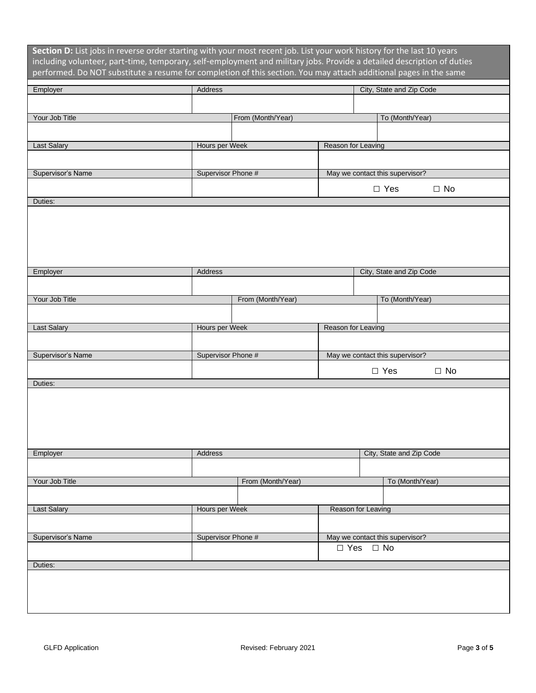| Section D: List jobs in reverse order starting with your most recent job. List your work history for the last 10 years<br>including volunteer, part-time, temporary, self-employment and military jobs. Provide a detailed description of duties<br>performed. Do NOT substitute a resume for completion of this section. You may attach additional pages in the same |                    |                   |                    |                                 |           |
|-----------------------------------------------------------------------------------------------------------------------------------------------------------------------------------------------------------------------------------------------------------------------------------------------------------------------------------------------------------------------|--------------------|-------------------|--------------------|---------------------------------|-----------|
| Employer                                                                                                                                                                                                                                                                                                                                                              | Address            |                   |                    | City, State and Zip Code        |           |
|                                                                                                                                                                                                                                                                                                                                                                       |                    |                   |                    |                                 |           |
| Your Job Title                                                                                                                                                                                                                                                                                                                                                        |                    | From (Month/Year) |                    | To (Month/Year)                 |           |
|                                                                                                                                                                                                                                                                                                                                                                       |                    |                   |                    |                                 |           |
| Last Salary                                                                                                                                                                                                                                                                                                                                                           | Hours per Week     |                   | Reason for Leaving |                                 |           |
|                                                                                                                                                                                                                                                                                                                                                                       |                    |                   |                    |                                 |           |
|                                                                                                                                                                                                                                                                                                                                                                       |                    |                   |                    |                                 |           |
| Supervisor's Name                                                                                                                                                                                                                                                                                                                                                     | Supervisor Phone # |                   |                    | May we contact this supervisor? |           |
|                                                                                                                                                                                                                                                                                                                                                                       |                    |                   |                    | $\Box$ Yes                      | $\Box$ No |
| Duties:                                                                                                                                                                                                                                                                                                                                                               |                    |                   |                    |                                 |           |
|                                                                                                                                                                                                                                                                                                                                                                       |                    |                   |                    |                                 |           |
| Employer                                                                                                                                                                                                                                                                                                                                                              | Address            |                   |                    | City, State and Zip Code        |           |
|                                                                                                                                                                                                                                                                                                                                                                       |                    |                   |                    |                                 |           |
| Your Job Title                                                                                                                                                                                                                                                                                                                                                        |                    | From (Month/Year) |                    | To (Month/Year)                 |           |
|                                                                                                                                                                                                                                                                                                                                                                       |                    |                   |                    |                                 |           |
| Last Salary                                                                                                                                                                                                                                                                                                                                                           | Hours per Week     |                   | Reason for Leaving |                                 |           |
|                                                                                                                                                                                                                                                                                                                                                                       |                    |                   |                    |                                 |           |
| Supervisor's Name                                                                                                                                                                                                                                                                                                                                                     | Supervisor Phone # |                   |                    | May we contact this supervisor? |           |
|                                                                                                                                                                                                                                                                                                                                                                       |                    |                   |                    | $\Box$ Yes                      | $\Box$ No |
| Duties:                                                                                                                                                                                                                                                                                                                                                               |                    |                   |                    |                                 |           |
|                                                                                                                                                                                                                                                                                                                                                                       |                    |                   |                    |                                 |           |
| Employer                                                                                                                                                                                                                                                                                                                                                              | <b>Address</b>     |                   |                    | City, State and Zip Code        |           |
|                                                                                                                                                                                                                                                                                                                                                                       |                    |                   |                    |                                 |           |
| Your Job Title                                                                                                                                                                                                                                                                                                                                                        |                    | From (Month/Year) |                    | To (Month/Year)                 |           |
|                                                                                                                                                                                                                                                                                                                                                                       |                    |                   |                    |                                 |           |
| Last Salary                                                                                                                                                                                                                                                                                                                                                           | Hours per Week     |                   | Reason for Leaving |                                 |           |
|                                                                                                                                                                                                                                                                                                                                                                       |                    |                   |                    |                                 |           |
| Supervisor's Name                                                                                                                                                                                                                                                                                                                                                     | Supervisor Phone # |                   |                    | May we contact this supervisor? |           |
|                                                                                                                                                                                                                                                                                                                                                                       |                    |                   |                    | $\Box$ Yes $\Box$ No            |           |
| Duties:                                                                                                                                                                                                                                                                                                                                                               |                    |                   |                    |                                 |           |
|                                                                                                                                                                                                                                                                                                                                                                       |                    |                   |                    |                                 |           |
|                                                                                                                                                                                                                                                                                                                                                                       |                    |                   |                    |                                 |           |
|                                                                                                                                                                                                                                                                                                                                                                       |                    |                   |                    |                                 |           |
|                                                                                                                                                                                                                                                                                                                                                                       |                    |                   |                    |                                 |           |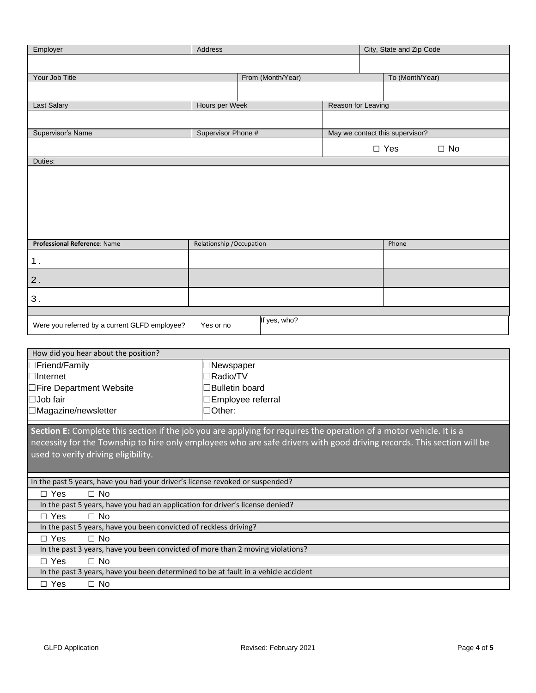| Employer                                                                                                               | Address                   |                           |                    | City, State and Zip Code        |              |
|------------------------------------------------------------------------------------------------------------------------|---------------------------|---------------------------|--------------------|---------------------------------|--------------|
|                                                                                                                        |                           |                           |                    |                                 |              |
| Your Job Title                                                                                                         |                           | From (Month/Year)         |                    | To (Month/Year)                 |              |
|                                                                                                                        |                           |                           |                    |                                 |              |
|                                                                                                                        |                           |                           |                    |                                 |              |
| <b>Last Salary</b>                                                                                                     | Hours per Week            |                           | Reason for Leaving |                                 |              |
|                                                                                                                        |                           |                           |                    |                                 |              |
| Supervisor's Name                                                                                                      | Supervisor Phone #        |                           |                    | May we contact this supervisor? |              |
|                                                                                                                        |                           |                           |                    |                                 |              |
|                                                                                                                        |                           |                           |                    | $\Box$ Yes                      | $\square$ No |
| Duties:                                                                                                                |                           |                           |                    |                                 |              |
|                                                                                                                        |                           |                           |                    |                                 |              |
|                                                                                                                        |                           |                           |                    |                                 |              |
|                                                                                                                        |                           |                           |                    |                                 |              |
|                                                                                                                        |                           |                           |                    |                                 |              |
|                                                                                                                        |                           |                           |                    |                                 |              |
|                                                                                                                        |                           |                           |                    |                                 |              |
|                                                                                                                        |                           |                           |                    |                                 |              |
| Professional Reference: Name                                                                                           | Relationship / Occupation |                           |                    | Phone                           |              |
| 1.                                                                                                                     |                           |                           |                    |                                 |              |
|                                                                                                                        |                           |                           |                    |                                 |              |
| 2.                                                                                                                     |                           |                           |                    |                                 |              |
|                                                                                                                        |                           |                           |                    |                                 |              |
| 3.                                                                                                                     |                           |                           |                    |                                 |              |
|                                                                                                                        |                           |                           |                    |                                 |              |
| Were you referred by a current GLFD employee?                                                                          | Yes or no                 | If yes, who?              |                    |                                 |              |
|                                                                                                                        |                           |                           |                    |                                 |              |
|                                                                                                                        |                           |                           |                    |                                 |              |
| How did you hear about the position?                                                                                   |                           |                           |                    |                                 |              |
| □Friend/Family                                                                                                         | $\Box$ Newspaper          |                           |                    |                                 |              |
| $\Box$ Internet                                                                                                        | $\Box$ Radio/TV           |                           |                    |                                 |              |
| □Fire Department Website                                                                                               | □Bulletin board           |                           |                    |                                 |              |
| $\Box$ Job fair                                                                                                        |                           | <b>□Employee referral</b> |                    |                                 |              |
| □Magazine/newsletter                                                                                                   | $\Box$ Other:             |                           |                    |                                 |              |
|                                                                                                                        |                           |                           |                    |                                 |              |
| Section E: Complete this section if the job you are applying for requires the operation of a motor vehicle. It is a    |                           |                           |                    |                                 |              |
| necessity for the Township to hire only employees who are safe drivers with good driving records. This section will be |                           |                           |                    |                                 |              |
| used to verify driving eligibility.                                                                                    |                           |                           |                    |                                 |              |
|                                                                                                                        |                           |                           |                    |                                 |              |
|                                                                                                                        |                           |                           |                    |                                 |              |
| In the past 5 years, have you had your driver's license revoked or suspended?                                          |                           |                           |                    |                                 |              |
| $\Box$ No<br>$\Box$ Yes                                                                                                |                           |                           |                    |                                 |              |
| In the nast 5 years, have you had an application for driver's license denied?                                          |                           |                           |                    |                                 |              |

In the past 5 years, have you had an application for driver's license □ Yes □ No

In the past 5 years, have you been convicted of reckless driving?

□ Yes □ No

In the past 3 years, have you been convicted of more than 2 moving violations?

□ Yes □ No

In the past 3 years, have you been determined to be at fault in a vehicle accident

□ Yes □ No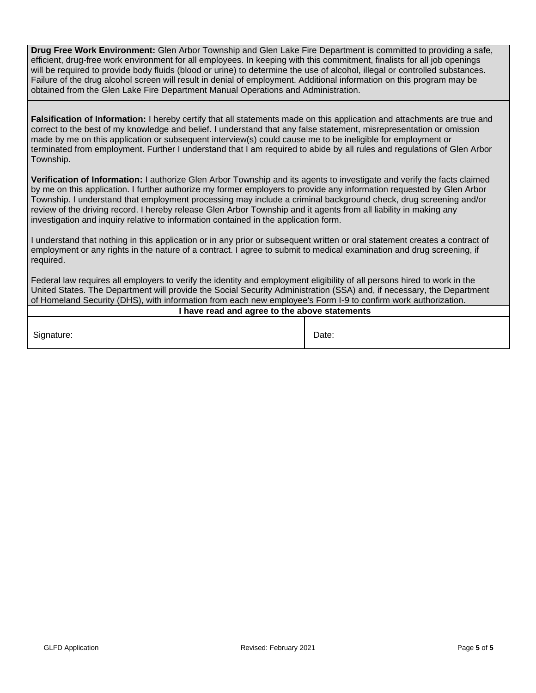**Drug Free Work Environment:** Glen Arbor Township and Glen Lake Fire Department is committed to providing a safe, efficient, drug-free work environment for all employees. In keeping with this commitment, finalists for all job openings will be required to provide body fluids (blood or urine) to determine the use of alcohol, illegal or controlled substances. Failure of the drug alcohol screen will result in denial of employment. Additional information on this program may be obtained from the Glen Lake Fire Department Manual Operations and Administration.

**Falsification of Information:** I hereby certify that all statements made on this application and attachments are true and correct to the best of my knowledge and belief. I understand that any false statement, misrepresentation or omission made by me on this application or subsequent interview(s) could cause me to be ineligible for employment or terminated from employment. Further I understand that I am required to abide by all rules and regulations of Glen Arbor Township.

**Verification of Information:** I authorize Glen Arbor Township and its agents to investigate and verify the facts claimed by me on this application. I further authorize my former employers to provide any information requested by Glen Arbor Township. I understand that employment processing may include a criminal background check, drug screening and/or review of the driving record. I hereby release Glen Arbor Township and it agents from all liability in making any investigation and inquiry relative to information contained in the application form.

I understand that nothing in this application or in any prior or subsequent written or oral statement creates a contract of employment or any rights in the nature of a contract. I agree to submit to medical examination and drug screening, if required.

Federal law requires all employers to verify the identity and employment eligibility of all persons hired to work in the United States. The Department will provide the Social Security Administration (SSA) and, if necessary, the Department of Homeland Security (DHS), with information from each new employee's Form I-9 to confirm work authorization.

| I have read and agree to the above statements |       |  |  |  |
|-----------------------------------------------|-------|--|--|--|
|                                               |       |  |  |  |
| Signature:                                    | Date: |  |  |  |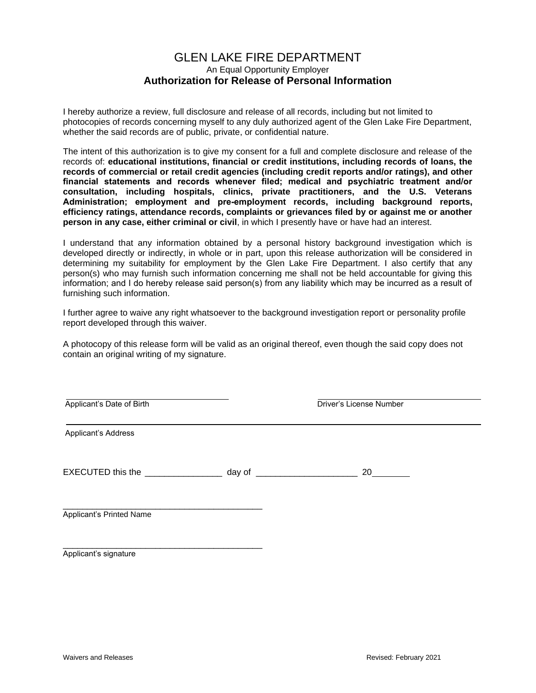#### GLEN LAKE FIRE DEPARTMENT An Equal Opportunity Employer **Authorization for Release of Personal Information**

I hereby authorize a review, full disclosure and release of all records, including but not limited to photocopies of records concerning myself to any duly authorized agent of the Glen Lake Fire Department, whether the said records are of public, private, or confidential nature.

The intent of this authorization is to give my consent for a full and complete disclosure and release of the records of: **educational institutions, financial or credit institutions, including records of loans, the records of commercial or retail credit agencies (including credit reports and/or ratings), and other financial statements and records whenever filed; medical and psychiatric treatment and/or consultation, including hospitals, clinics, private practitioners, and the U.S. Veterans**  Administration; employment and pre-employment records, including background reports, **efficiency ratings, attendance records, complaints or grievances filed by or against me or another person in any case, either criminal or civil**, in which I presently have or have had an interest.

I understand that any information obtained by a personal history background investigation which is developed directly or indirectly, in whole or in part, upon this release authorization will be considered in determining my suitability for employment by the Glen Lake Fire Department. I also certify that any person(s) who may furnish such information concerning me shall not be held accountable for giving this information; and I do hereby release said person(s) from any liability which may be incurred as a result of furnishing such information.

I further agree to waive any right whatsoever to the background investigation report or personality profile report developed through this waiver.

A photocopy of this release form will be valid as an original thereof, even though the said copy does not contain an original writing of my signature.

| Applicant's Date of Birth           |                   | Driver's License Number |  |
|-------------------------------------|-------------------|-------------------------|--|
| Applicant's Address                 |                   |                         |  |
| EXECUTED this the _________________ | day of $\sqrt{a}$ | 20                      |  |
| Applicant's Printed Name            |                   |                         |  |

Applicant's signature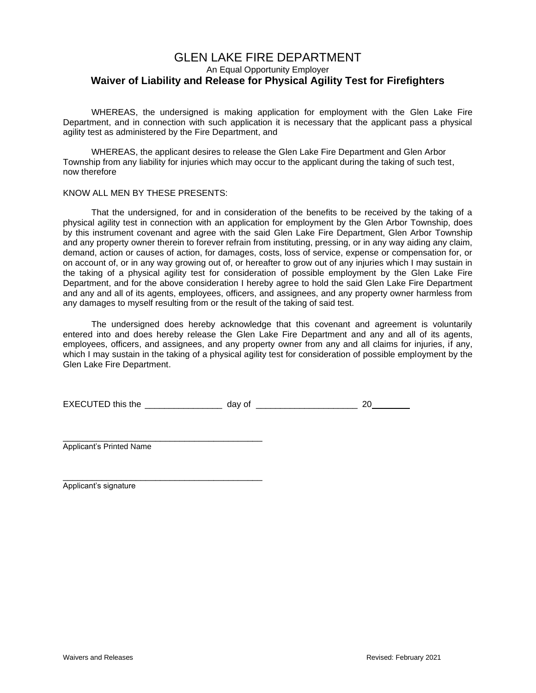#### GLEN LAKE FIRE DEPARTMENT An Equal Opportunity Employer **Waiver of Liability and Release for Physical Agility Test for Firefighters**

WHEREAS, the undersigned is making application for employment with the Glen Lake Fire Department, and in connection with such application it is necessary that the applicant pass a physical agility test as administered by the Fire Department, and

WHEREAS, the applicant desires to release the Glen Lake Fire Department and Glen Arbor Township from any liability for injuries which may occur to the applicant during the taking of such test, now therefore

#### KNOW ALL MEN BY THESE PRESENTS:

That the undersigned, for and in consideration of the benefits to be received by the taking of a physical agility test in connection with an application for employment by the Glen Arbor Township, does by this instrument covenant and agree with the said Glen Lake Fire Department, Glen Arbor Township and any property owner therein to forever refrain from instituting, pressing, or in any way aiding any claim, demand, action or causes of action, for damages, costs, loss of service, expense or compensation for, or on account of, or in any way growing out of, or hereafter to grow out of any injuries which I may sustain in the taking of a physical agility test for consideration of possible employment by the Glen Lake Fire Department, and for the above consideration I hereby agree to hold the said Glen Lake Fire Department and any and all of its agents, employees, officers, and assignees, and any property owner harmless from any damages to myself resulting from or the result of the taking of said test.

The undersigned does hereby acknowledge that this covenant and agreement is voluntarily entered into and does hereby release the Glen Lake Fire Department and any and all of its agents, employees, officers, and assignees, and any property owner from any and all claims for injuries, if any, which I may sustain in the taking of a physical agility test for consideration of possible employment by the Glen Lake Fire Department.

| <b>EXECUTED this the</b> |  |
|--------------------------|--|
|--------------------------|--|

Applicant's Printed Name

\_\_\_\_\_\_\_\_\_\_\_\_\_\_\_\_\_\_\_\_\_\_\_\_\_\_\_\_\_\_\_\_\_\_\_\_\_\_\_\_\_

\_\_\_\_\_\_\_\_\_\_\_\_\_\_\_\_\_\_\_\_\_\_\_\_\_\_\_\_\_\_\_\_\_\_\_\_\_\_\_\_\_ Applicant's signature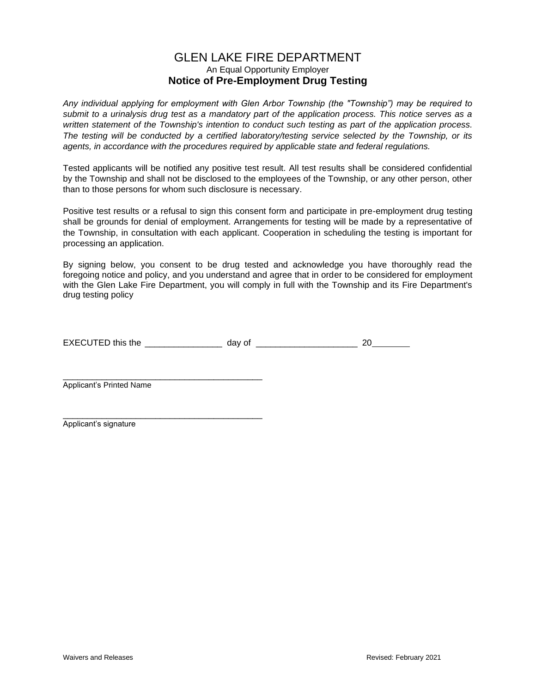#### GLEN LAKE FIRE DEPARTMENT An Equal Opportunity Employer **Notice of Pre-Employment Drug Testing**

*Any individual applying for employment with Glen Arbor Township (the "Township") may be required to submit to a urinalysis drug test as a mandatory part of the application process. This notice serves as a written statement of the Township's intention to conduct such testing as part of the application process. The testing will be conducted by a certified laboratory/testing service selected by the Township, or its agents, in accordance with the procedures required by applicable state and federal regulations.*

Tested applicants will be notified any positive test result. All test results shall be considered confidential by the Township and shall not be disclosed to the employees of the Township, or any other person, other than to those persons for whom such disclosure is necessary.

Positive test results or a refusal to sign this consent form and participate in pre-employment drug testing shall be grounds for denial of employment. Arrangements for testing will be made by a representative of the Township, in consultation with each applicant. Cooperation in scheduling the testing is important for processing an application.

By signing below, you consent to be drug tested and acknowledge you have thoroughly read the foregoing notice and policy, and you understand and agree that in order to be considered for employment with the Glen Lake Fire Department, you will comply in full with the Township and its Fire Department's drug testing policy

| <b>EXECUTED this</b><br>10.1<br>___ |  |  |
|-------------------------------------|--|--|
|                                     |  |  |

\_\_\_\_\_\_\_\_\_\_\_\_\_\_\_\_\_\_\_\_\_\_\_\_\_\_\_\_\_\_\_\_\_\_\_\_\_\_\_\_\_ Applicant's Printed Name

\_\_\_\_\_\_\_\_\_\_\_\_\_\_\_\_\_\_\_\_\_\_\_\_\_\_\_\_\_\_\_\_\_\_\_\_\_\_\_\_\_ Applicant's signature